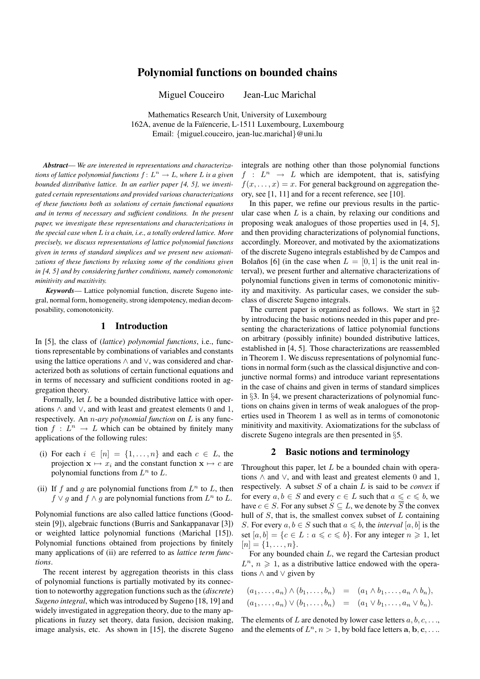# Polynomial functions on bounded chains

Miguel Couceiro Jean-Luc Marichal

Mathematics Research Unit, University of Luxembourg 162A, avenue de la Faïencerie, L-1511 Luxembourg, Luxembourg Email: {miguel.couceiro, jean-luc.marichal}@uni.lu

*Abstract*— *We are interested in representations and characterizations of lattice polynomial functions*  $f: L^n \to L$ , where L is a given *bounded distributive lattice. In an earlier paper [4, 5], we investigated certain representations and provided various characterizations of these functions both as solutions of certain functional equations and in terms of necessary and sufficient conditions. In the present paper, we investigate these representations and characterizations in the special case when* L *is a chain, i.e., a totally ordered lattice. More precisely, we discuss representations of lattice polynomial functions given in terms of standard simplices and we present new axiomatizations of these functions by relaxing some of the conditions given in [4, 5] and by considering further conditions, namely comonotonic minitivity and maxitivity.*

*Keywords*— Lattice polynomial function, discrete Sugeno integral, normal form, homogeneity, strong idempotency, median decomposability, comonotonicity.

# 1 Introduction

In [5], the class of (*lattice*) *polynomial functions*, i.e., functions representable by combinations of variables and constants using the lattice operations ∧ and ∨, was considered and characterized both as solutions of certain functional equations and in terms of necessary and sufficient conditions rooted in aggregation theory.

Formally, let L be a bounded distributive lattice with operations  $\land$  and  $\lor$ , and with least and greatest elements 0 and 1, respectively. An n*-ary polynomial function* on L is any function  $f: L^n \to L$  which can be obtained by finitely many applications of the following rules:

- (i) For each  $i \in [n] = \{1, \ldots, n\}$  and each  $c \in L$ , the projection  $x \mapsto x_i$  and the constant function  $x \mapsto c$  are polynomial functions from  $L^n$  to  $L$ .
- (ii) If f and g are polynomial functions from  $L^n$  to L, then  $f \vee g$  and  $f \wedge g$  are polynomial functions from  $L^n$  to  $L$ .

Polynomial functions are also called lattice functions (Goodstein [9]), algebraic functions (Burris and Sankappanavar [3]) or weighted lattice polynomial functions (Marichal [15]). Polynomial functions obtained from projections by finitely many applications of (ii) are referred to as *lattice term functions*.

The recent interest by aggregation theorists in this class of polynomial functions is partially motivated by its connection to noteworthy aggregation functions such as the (*discrete*) *Sugeno integral*, which was introduced by Sugeno [18, 19] and widely investigated in aggregation theory, due to the many applications in fuzzy set theory, data fusion, decision making, image analysis, etc. As shown in [15], the discrete Sugeno

integrals are nothing other than those polynomial functions  $f : L^n \rightarrow L$  which are idempotent, that is, satisfying  $f(x, \ldots, x) = x$ . For general background on aggregation theory, see [1, 11] and for a recent reference, see [10].

In this paper, we refine our previous results in the particular case when  $L$  is a chain, by relaxing our conditions and proposing weak analogues of those properties used in [4, 5], and then providing characterizations of polynomial functions, accordingly. Moreover, and motivated by the axiomatizations of the discrete Sugeno integrals established by de Campos and Bolaños [6] (in the case when  $L = [0, 1]$  is the unit real interval), we present further and alternative characterizations of polynomial functions given in terms of comonotonic minitivity and maxitivity. As particular cases, we consider the subclass of discrete Sugeno integrals.

The current paper is organized as follows. We start in  $\S2$ by introducing the basic notions needed in this paper and presenting the characterizations of lattice polynomial functions on arbitrary (possibly infinite) bounded distributive lattices, established in [4, 5]. Those characterizations are reassembled in Theorem 1. We discuss representations of polynomial functions in normal form (such as the classical disjunctive and conjunctive normal forms) and introduce variant representations in the case of chains and given in terms of standard simplices in §3. In §4, we present characterizations of polynomial functions on chains given in terms of weak analogues of the properties used in Theorem 1 as well as in terms of comonotonic minitivity and maxitivity. Axiomatizations for the subclass of discrete Sugeno integrals are then presented in §5.

#### 2 Basic notions and terminology

Throughout this paper, let  $L$  be a bounded chain with operations  $\land$  and  $\lor$ , and with least and greatest elements 0 and 1, respectively. A subset S of a chain L is said to be *convex* if for every  $a, b \in S$  and every  $c \in L$  such that  $a \leq c \leq b$ , we have  $c \in S$ . For any subset  $S \subseteq L$ , we denote by  $\overline{S}$  the convex hull of  $S$ , that is, the smallest convex subset of  $L$  containing S. For every  $a, b \in S$  such that  $a \leq b$ , the *interval* [a, b] is the set  $[a, b] = \{c \in L : a \leq c \leq b\}$ . For any integer  $n \geq 1$ , let  $[n] = \{1, \ldots, n\}.$ 

For any bounded chain L, we regard the Cartesian product  $L^n$ ,  $n \geq 1$ , as a distributive lattice endowed with the operations ∧ and ∨ given by

$$
(a_1,\ldots,a_n)\wedge(b_1,\ldots,b_n) = (a_1\wedge b_1,\ldots,a_n\wedge b_n),(a_1,\ldots,a_n)\vee(b_1,\ldots,b_n) = (a_1\vee b_1,\ldots,a_n\vee b_n).
$$

The elements of L are denoted by lower case letters  $a, b, c, \ldots$ and the elements of  $L^n$ ,  $n > 1$ , by bold face letters  $a, b, c, \ldots$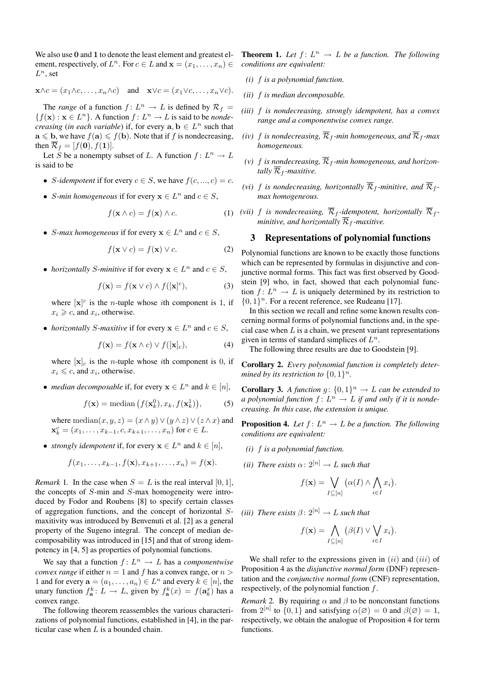We also use 0 and 1 to denote the least element and greatest element, respectively, of  $L^n$ . For  $c \in L$  and  $\mathbf{x} = (x_1, \dots, x_n) \in$  $L^n$ , set

$$
\mathbf{x} \wedge c = (x_1 \wedge c, \dots, x_n \wedge c)
$$
 and  $\mathbf{x} \vee c = (x_1 \vee c, \dots, x_n \vee c).$ 

The *range* of a function  $f: L^n \to L$  is defined by  $\mathcal{R}_f =$  ${f(x) : x \in L^n}$ . A function  $f: L^n \to L$  is said to be *nondecreasing* (*in each variable*) if, for every  $a, b \in L^n$  such that  $\mathbf{a} \leqslant \mathbf{b}$ , we have  $f(\mathbf{a}) \leqslant f(\mathbf{b})$ . Note that if f is nondecreasing, then  $\overline{\mathcal{R}}_f = [f(\mathbf{0}), f(\mathbf{1})].$ 

Let S be a nonempty subset of L. A function  $f: L^n \to L$ is said to be

- *S*-idempotent if for every  $c \in S$ , we have  $f(c, ..., c) = c$ .
- *S*-min homogeneous if for every  $x \in L^n$  and  $c \in S$ ,

$$
f(\mathbf{x} \wedge c) = f(\mathbf{x}) \wedge c. \tag{1}
$$

• *S*-max homogeneous if for every  $x \in L^n$  and  $c \in S$ ,

$$
f(\mathbf{x} \lor c) = f(\mathbf{x}) \lor c. \tag{2}
$$

• *horizontally S-minitive* if for every  $x \in L^n$  and  $c \in S$ ,

$$
f(\mathbf{x}) = f(\mathbf{x} \lor c) \land f([\mathbf{x}]^c), \tag{3}
$$

where  $[x]^{c}$  is the *n*-tuple whose *i*th component is 1, if  $x_i \geq c$ , and  $x_i$ , otherwise.

• *horizontally S-maxitive* if for every  $x \in L^n$  and  $c \in S$ ,

$$
f(\mathbf{x}) = f(\mathbf{x} \wedge c) \vee f([\mathbf{x}]_c), \tag{4}
$$

where  $[x]_c$  is the *n*-tuple whose *i*th component is 0, if  $x_i \leq c$ , and  $x_i$ , otherwise.

• *median decomposable* if, for every  $x \in L^n$  and  $k \in [n]$ ,

$$
f(\mathbf{x}) = \text{median}\left(f(\mathbf{x}_k^0), x_k, f(\mathbf{x}_k^1)\right),\tag{5}
$$

where median $(x, y, z) = (x \wedge y) \vee (y \wedge z) \vee (z \wedge x)$  and  $\mathbf{x}_k^c = (x_1, \ldots, x_{k-1}, c, x_{k+1}, \ldots, x_n)$  for  $c \in L$ .

• *strongly idempotent* if, for every  $x \in L^n$  and  $k \in [n]$ ,

$$
f(x_1,\ldots,x_{k-1},f(\mathbf{x}),x_{k+1},\ldots,x_n)=f(\mathbf{x}).
$$

*Remark* 1. In the case when  $S = L$  is the real interval [0, 1], the concepts of S-min and S-max homogeneity were introduced by Fodor and Roubens [8] to specify certain classes of aggregation functions, and the concept of horizontal Smaxitivity was introduced by Benvenuti et al. [2] as a general property of the Sugeno integral. The concept of median decomposability was introduced in [15] and that of strong idempotency in [4, 5] as properties of polynomial functions.

We say that a function  $f: L^n \to L$  has a *componentwise convex range* if either  $n = 1$  and f has a convex range, or  $n >$ 1 and for every  $\mathbf{a} = (a_1, \dots, a_n) \in L^n$  and every  $k \in [n]$ , the unary function  $f_{\mathbf{a}}^k$ :  $L \to L$ , given by  $f_{\mathbf{a}}^k(x) = f(\mathbf{a}_k^x)$  has a convex range.

The following theorem reassembles the various characterizations of polynomial functions, established in [4], in the particular case when  $L$  is a bounded chain.

**Theorem 1.** Let  $f: L^n \to L$  be a function. The following *conditions are equivalent:*

- *(i)* f *is a polynomial function.*
- *(ii)* f *is median decomposable.*
- *(iii)* f *is nondecreasing, strongly idempotent, has a convex range and a componentwise convex range.*
- *(iv)* f *is nondecreasing*,  $\overline{\mathcal{R}}_f$ *-min homogeneous, and*  $\overline{\mathcal{R}}_f$ *-max homogeneous.*
- (*v*)  $f$  *is nondecreasing*,  $\overline{\mathcal{R}}_f$ -min homogeneous, and horizon*tally*  $\overline{\mathcal{R}}_f$ *-maxitive.*
- *(vi)*  $f$  *is nondecreasing, horizontally*  $\overline{\mathcal{R}}_f$ *-minitive, and*  $\overline{\mathcal{R}}_f$ *max homogeneous.*
- *(vii)* f *is nondecreasing,*  $\overline{\mathcal{R}}_f$ -idempotent, horizontally  $\overline{\mathcal{R}}_f$ *minitive, and horizontally*  $\overline{\mathcal{R}}_f$ *-maxitive.*

## 3 Representations of polynomial functions

Polynomial functions are known to be exactly those functions which can be represented by formulas in disjunctive and conjunctive normal forms. This fact was first observed by Goodstein [9] who, in fact, showed that each polynomial function  $f: L^n \to L$  is uniquely determined by its restriction to  $\{0, 1\}^n$ . For a recent reference, see Rudeanu [17].

In this section we recall and refine some known results concerning normal forms of polynomial functions and, in the special case when  $L$  is a chain, we present variant representations given in terms of standard simplices of  $L^n$ .

The following three results are due to Goodstein [9].

Corollary 2. *Every polynomial function is completely determined by its restriction to*  $\{0,1\}^n$ *.* 

**Corollary 3.** A function  $g: \{0,1\}^n \to L$  can be extended to *a polynomial function*  $f: L^n \to L$  *if and only if it is nondecreasing. In this case, the extension is unique.*

**Proposition 4.** Let  $f: L^n \to L$  be a function. The following *conditions are equivalent:*

- *(i)* f *is a polynomial function.*
- *(ii) There exists*  $\alpha: 2^{[n]} \rightarrow L$  *such that*

$$
f(\mathbf{x}) = \bigvee_{I \subseteq [n]} (\alpha(I) \land \bigwedge_{i \in I} x_i).
$$

*(iii) There exists*  $\beta$ :  $2^{[n]} \rightarrow L$  *such that* 

$$
f(\mathbf{x}) = \bigwedge_{I \subseteq [n]} (\beta(I) \vee \bigvee_{i \in I} x_i).
$$

We shall refer to the expressions given in  $(ii)$  and  $(iii)$  of Proposition 4 as the *disjunctive normal form* (DNF) representation and the *conjunctive normal form* (CNF) representation, respectively, of the polynomial function f.

*Remark* 2. By requiring  $\alpha$  and  $\beta$  to be nonconstant functions from  $2^{[n]}$  to  $\{0,1\}$  and satisfying  $\alpha(\emptyset) = 0$  and  $\beta(\emptyset) = 1$ , respectively, we obtain the analogue of Proposition 4 for term functions.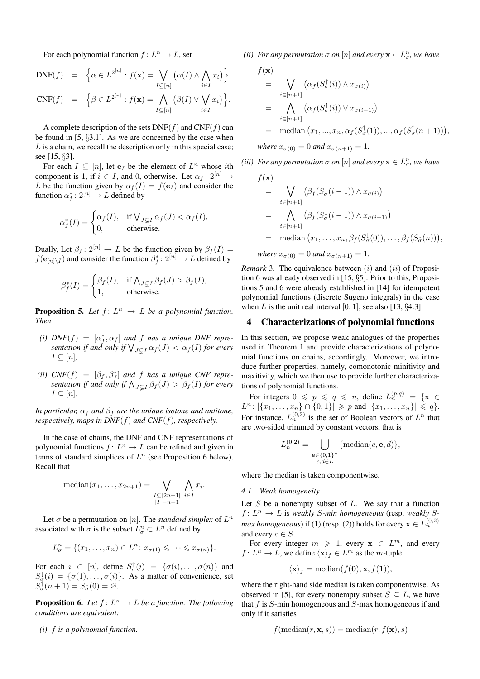For each polynomial function  $f: L^n \to L$ , set

$$
DNF(f) = \left\{ \alpha \in L^{2^{[n]}} : f(\mathbf{x}) = \bigvee_{I \subseteq [n]} \left( \alpha(I) \wedge \bigwedge_{i \in I} x_i \right) \right\},
$$
  
\n
$$
CNF(f) = \left\{ \beta \in L^{2^{[n]}} : f(\mathbf{x}) = \bigwedge_{I \subseteq [n]} \left( \beta(I) \vee \bigvee_{i \in I} x_i \right) \right\}.
$$

A complete description of the sets  $DNF(f)$  and  $CNF(f)$  can be found in [5, §3.1]. As we are concerned by the case when  $L$  is a chain, we recall the description only in this special case; see [15, §3].

For each  $I \subseteq [n]$ , let  $e_I$  be the element of  $L^n$  whose *i*th component is 1, if  $i \in I$ , and 0, otherwise. Let  $\alpha_f : 2^{[n]} \rightarrow$ L be the function given by  $\alpha_f(I) = f(e_I)$  and consider the function  $\alpha_f^*: 2^{[n]} \to L$  defined by

$$
\alpha_f^*(I) = \begin{cases} \alpha_f(I), & \text{if } \bigvee_{J \subsetneq I} \alpha_f(J) < \alpha_f(I), \\ 0, & \text{otherwise.} \end{cases}
$$

Dually, Let  $\beta_f : 2^{[n]} \to L$  be the function given by  $\beta_f(I) =$  $f(\mathbf{e}_{[n]\setminus I})$  and consider the function  $\beta_f^* \colon 2^{[n]} \to L$  defined by

$$
\beta_f^*(I) = \begin{cases} \beta_f(I), & \text{if } \bigwedge_{J \subsetneq I} \beta_f(J) > \beta_f(I), \\ 1, & \text{otherwise.} \end{cases}
$$

**Proposition 5.** Let  $f: L^n \to L$  be a polynomial function. *Then*

- (*i*)  $DNF(f) = [\alpha_f^*, \alpha_f]$  and f has a unique DNF repre- $\mathcal{D}_{\text{IVF}}(f) = [\alpha_f, \alpha_f]$  and f has a unique  $\mathcal{D}_{\text{IVF}}$  representation if and only if  $\bigvee_{J \subsetneq I} \alpha_f(J) < \alpha_f(I)$  for every  $I \subseteq [n]$ ,
- (*ii*)  $CNF(f) = [\beta_f, \beta_f^*]$  *and f has a unique CNF repre-* $\text{CNF}(f) = [\beta_f, \beta_f]$  and *J* has a unique  $\text{CNF}$  representation if and only if  $\bigwedge_{J \subsetneq I} \beta_f(J) > \beta_f(I)$  for every  $I \subseteq [n]$ .

*In particular,*  $\alpha_f$  *and*  $\beta_f$  *are the unique isotone and antitone, respectively, maps in DNF*(f) *and CNF*(f)*, respectively.*

In the case of chains, the DNF and CNF representations of polynomial functions  $f: L^n \to L$  can be refined and given in terms of standard simplices of  $L^n$  (see Proposition 6 below). Recall that

median
$$
(x_1,...,x_{2n+1})
$$
 =  $\bigvee_{\substack{I \subseteq [2n+1] \\ |I|=n+1}} \bigwedge_{i \in I} x_i$ .

Let  $\sigma$  be a permutation on [n]. The *standard simplex* of  $L^n$ associated with  $\sigma$  is the subset  $L_{\sigma}^n \subset L^n$  defined by

$$
L_{\sigma}^{n} = \{ (x_1, \ldots, x_n) \in L^n : x_{\sigma(1)} \leqslant \cdots \leqslant x_{\sigma(n)} \}.
$$

For each  $i \in [n]$ , define  $S^{\uparrow}_{\sigma}(i) = {\sigma(i), \ldots, \sigma(n)}$  and  $S^{\downarrow}_{\sigma}(i) = \{\sigma(1), \ldots, \sigma(i)\}.$  As a matter of convenience, set  $S_{\sigma}^{\dagger}(n+1) = S_{\sigma}^{\downarrow}(0) = \varnothing.$ 

**Proposition 6.** Let  $f: L^n \to L$  be a function. The following *conditions are equivalent:*

*(i)* f *is a polynomial function.*

*(ii) For any permutation*  $\sigma$  *on*  $[n]$  *and every*  $\mathbf{x} \in L^n_{\sigma}$ *, we have* 

 $\frac{1}{2}$ 

$$
f(\mathbf{x})
$$
  
= 
$$
\bigvee_{i \in [n+1]} (\alpha_f(S_{\sigma}^{\uparrow}(i)) \wedge x_{\sigma(i)})
$$
  
= 
$$
\bigwedge_{i \in [n+1]} (\alpha_f(S_{\sigma}^{\uparrow}(i)) \vee x_{\sigma(i-1)})
$$
  
= median  $(x_1, ..., x_n, \alpha_f(S_{\sigma}^{\uparrow}(1)), ..., \alpha_f(S_{\sigma}^{\uparrow}(n+1)))$ ,  
where  $x_{\sigma(0)} = 0$  and  $x_{\sigma(n+1)} = 1$ .

*(iii) For any permutation*  $\sigma$  *on*  $[n]$  *and every*  $\mathbf{x} \in L^n_{\sigma}$ *, we have* 

$$
f(\mathbf{x})
$$
  
= 
$$
\bigvee_{i \in [n+1]} (\beta_f(S^{\downarrow}_{\sigma}(i-1)) \wedge x_{\sigma(i)})
$$
  
= 
$$
\bigwedge_{i \in [n+1]} (\beta_f(S^{\downarrow}_{\sigma}(i-1)) \wedge x_{\sigma(i-1)})
$$
  
= median  $(x_1, \ldots, x_n, \beta_f(S^{\downarrow}_{\sigma}(0)), \ldots, \beta_f(S^{\downarrow}_{\sigma}(n)))$ ,

*where*  $x_{\sigma(0)} = 0$  *and*  $x_{\sigma(n+1)} = 1$ *.* 

*Remark* 3. The equivalence between  $(i)$  and  $(ii)$  of Proposition 6 was already observed in [15, §5]. Prior to this, Propositions 5 and 6 were already established in [14] for idempotent polynomial functions (discrete Sugeno integrals) in the case when L is the unit real interval  $[0, 1]$ ; see also  $[13, \S4.3]$ .

#### 4 Characterizations of polynomial functions

In this section, we propose weak analogues of the properties used in Theorem 1 and provide characterizations of polynomial functions on chains, accordingly. Moreover, we introduce further properties, namely, comonotonic minitivity and maxitivity, which we then use to provide further characterizations of polynomial functions.

For integers  $0 \leqslant p \leqslant q \leqslant n$ , define  $L_n^{(p,q)} = \{ \mathbf{x} \in \Omega \}$  $L^n: |\{x_1, \ldots, x_n\} \cap \{0, 1\}| \geqslant p$  and  $|\{x_1, \ldots, x_n\}| \leqslant q\}.$ For instance,  $L_n^{(0,2)}$  is the set of Boolean vectors of  $L^n$  that are two-sided trimmed by constant vectors, that is

$$
L_n^{(0,2)} = \bigcup_{\substack{\mathbf{e} \in \{0,1\}^n \\ c, d \in L}} \{\text{median}(c, \mathbf{e}, d)\},
$$

where the median is taken componentwise.

#### *4.1 Weak homogeneity*

Let  $S$  be a nonempty subset of  $L$ . We say that a function  $f: L^n \to L$  is *weakly S-min homogeneous* (resp. *weakly Smax homogeneous*) if (1) (resp. (2)) holds for every  $\mathbf{x} \in L_{n}^{(0,2)}$ and every  $c \in S$ .

For every integer  $m \ge 1$ , every  $x \in L^m$ , and every  $f: L^n \to L$ , we define  $\langle x \rangle_f \in L^m$  as the *m*-tuple

$$
\langle \mathbf{x} \rangle_f = \text{median}(f(\mathbf{0}), \mathbf{x}, f(\mathbf{1})),
$$

where the right-hand side median is taken componentwise. As observed in [5], for every nonempty subset  $S \subseteq L$ , we have that  $f$  is  $S$ -min homogeneous and  $S$ -max homogeneous if and only if it satisfies

$$
f(\text{median}(r, \mathbf{x}, s)) = \text{median}(r, f(\mathbf{x}), s)
$$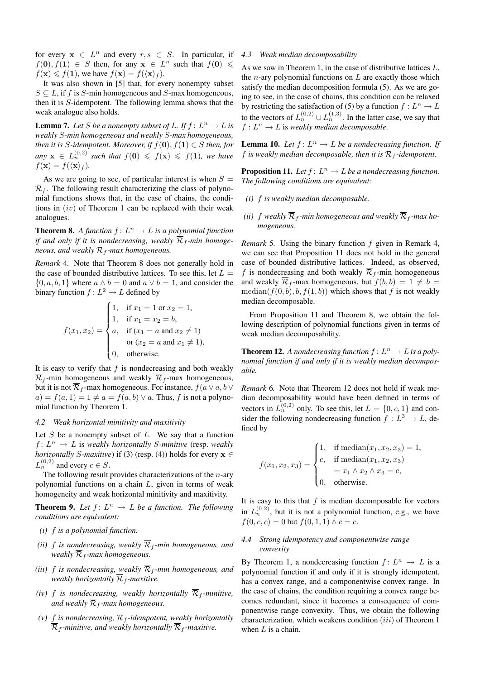for every  $x \in L^n$  and every  $r, s \in S$ . In particular, if  $f(\mathbf{0}), f(\mathbf{1}) \in S$  then, for any  $\mathbf{x} \in L^n$  such that  $f(\mathbf{0}) \leq$  $f(\mathbf{x}) \leq f(1)$ , we have  $f(\mathbf{x}) = f(\langle \mathbf{x} \rangle_f)$ .

It was also shown in [5] that, for every nonempty subset  $S \subseteq L$ , if f is S-min homogeneous and S-max homogeneous, then it is S-idempotent. The following lemma shows that the weak analogue also holds.

**Lemma 7.** Let S be a nonempty subset of L. If  $f: L^n \to L$  is *weakly* S*-min homogeneous and weakly* S*-max homogeneous, then it is* S-idempotent. Moreover, if  $f(\mathbf{0}), f(\mathbf{1}) \in S$  then, for  $any \mathbf{x} \in L_n^{(0,2)}$  *such that*  $f(\mathbf{0}) \leqslant f(\mathbf{x}) \leqslant f(1)$ *, we have*  $f(\mathbf{x}) = f(\langle \mathbf{x} \rangle_f)$ *.* 

As we are going to see, of particular interest is when  $S =$  $\overline{\mathcal{R}}_f$ . The following result characterizing the class of polynomial functions shows that, in the case of chains, the conditions in  $(iv)$  of Theorem 1 can be replaced with their weak analogues.

**Theorem 8.** A function  $f: L^n \to L$  is a polynomial function *if and only if it is nondecreasing, weakly*  $\overline{\mathcal{R}}_f$ -min homoge*neous, and weakly*  $\overline{\mathcal{R}}_f$ *-max homogeneous.* 

*Remark* 4*.* Note that Theorem 8 does not generally hold in the case of bounded distributive lattices. To see this, let  $L =$  $\{0, a, b, 1\}$  where  $a \wedge b = 0$  and  $a \vee b = 1$ , and consider the binary function  $f: L^2 \to L$  defined by  $\overline{\phantom{a}}$ 

$$
f(x_1, x_2) = \begin{cases} 1, & \text{if } x_1 = 1 \text{ or } x_2 = 1, \\ 1, & \text{if } x_1 = x_2 = b, \\ a, & \text{if } (x_1 = a \text{ and } x_2 \neq 1) \\ \text{or } (x_2 = a \text{ and } x_1 \neq 1), \\ 0, & \text{otherwise.} \end{cases}
$$

It is easy to verify that  $f$  is nondecreasing and both weakly  $\overline{\mathcal{R}}_f$ -min homogeneous and weakly  $\overline{\mathcal{R}}_f$ -max homogeneous, but it is not  $\overline{\mathcal{R}}_f$ -max homogeneous. For instance,  $f(a \vee a, b \vee c)$  $a) = f(a, 1) = 1 \neq a = f(a, b) \vee a$ . Thus, f is not a polynomial function by Theorem 1.

### *4.2 Weak horizontal minitivity and maxitivity*

Let  $S$  be a nonempty subset of  $L$ . We say that a function  $f: L^n \to L$  is *weakly horizontally S-minitive* (resp. *weakly horizontally* S-maxitive) if (3) (resp. (4)) holds for every  $x \in$  $L_n^{(0,2)}$  and every  $c \in S$ .

The following result provides characterizations of the  $n$ -ary polynomial functions on a chain  $L$ , given in terms of weak homogeneity and weak horizontal minitivity and maxitivity.

**Theorem 9.** Let  $f: L^n \to L$  be a function. The following *conditions are equivalent:*

- *(i)* f *is a polynomial function.*
- *(ii)* f *is nondecreasing, weakly*  $\overline{\mathcal{R}}_f$ -min homogeneous, and *weakly*  $\overline{\mathcal{R}}_f$ *-max homogeneous.*
- *(iii)* f *is nondecreasing, weakly*  $\overline{\mathcal{R}}_f$ -min homogeneous, and *weakly horizontally*  $\overline{\mathcal{R}}_f$ *-maxitive.*
- *(iv)* f *is nondecreasing, weakly horizontally*  $\overline{\mathcal{R}}_f$ *-minitive, and weakly*  $\overline{\mathcal{R}}_f$ *-max homogeneous.*
- *(v)* f *is nondecreasing*,  $\overline{\mathcal{R}}_f$ -*idempotent, weakly horizontally*  $\overline{\mathcal{R}}_f$ -minitive, and weakly horizontally  $\overline{\mathcal{R}}_f$ -maxitive.

#### *4.3 Weak median decomposability*

As we saw in Theorem 1, in the case of distributive lattices L, the *n*-ary polynomial functions on  $L$  are exactly those which satisfy the median decomposition formula (5). As we are going to see, in the case of chains, this condition can be relaxed by restricting the satisfaction of (5) by a function  $f: L^n \to L$ to the vectors of  $L_n^{(0,2)} \cup L_n^{(1,3)}$ . In the latter case, we say that  $f: L^n \to L$  is weakly median decomposable.

**Lemma 10.** Let  $f: L^n \to L$  be a nondecreasing function. If f *is weakly median decomposable, then it is*  $\overline{\mathcal{R}}_f$ -*idempotent.* 

**Proposition 11.** Let  $f: L^n \to L$  be a nondecreasing function. *The following conditions are equivalent:*

- *(i)* f *is weakly median decomposable.*
- (*ii*) f weakly  $\overline{\mathcal{R}}_f$ -min homogeneous and weakly  $\overline{\mathcal{R}}_f$ -max ho*mogeneous.*

*Remark* 5*.* Using the binary function f given in Remark 4, we can see that Proposition 11 does not hold in the general case of bounded distributive lattices. Indeed, as observed, f is nondecreasing and both weakly  $\overline{\mathcal{R}}_f$ -min homogeneous and weakly  $\overline{\mathcal{R}}_f$ -max homogeneous, but  $f(b, b) = 1 \neq b =$ median( $f(0, b), b, f(1, b)$ ) which shows that f is not weakly median decomposable.

From Proposition 11 and Theorem 8, we obtain the following description of polynomial functions given in terms of weak median decomposability.

**Theorem 12.** A nondecreasing function  $f: L^n \to L$  is a poly*nomial function if and only if it is weakly median decomposable.*

*Remark* 6*.* Note that Theorem 12 does not hold if weak median decomposability would have been defined in terms of vectors in  $L_n^{(0,2)}$  only. To see this, let  $L = \{0, c, 1\}$  and consider the following nondecreasing function  $f: L^3 \to L$ , defined by

$$
f(x_1, x_2, x_3) = \begin{cases} 1, & \text{if median}(x_1, x_2, x_3) = 1, \\ c, & \text{if median}(x_1, x_2, x_3) \\ = x_1 \land x_2 \land x_3 = c, \\ 0, & \text{otherwise.} \end{cases}
$$

It is easy to this that  $f$  is median decomposable for vectors in  $L_n^{(0,2)}$ , but it is not a polynomial function, e.g., we have  $f(0, c, c) = 0$  but  $f(0, 1, 1) \wedge c = c$ .

### *4.4 Strong idempotency and componentwise range convexity*

By Theorem 1, a nondecreasing function  $f: L^n \to L$  is a polynomial function if and only if it is strongly idempotent, has a convex range, and a componentwise convex range. In the case of chains, the condition requiring a convex range becomes redundant, since it becomes a consequence of componentwise range convexity. Thus, we obtain the following characterization, which weakens condition  $(iii)$  of Theorem 1 when  $L$  is a chain.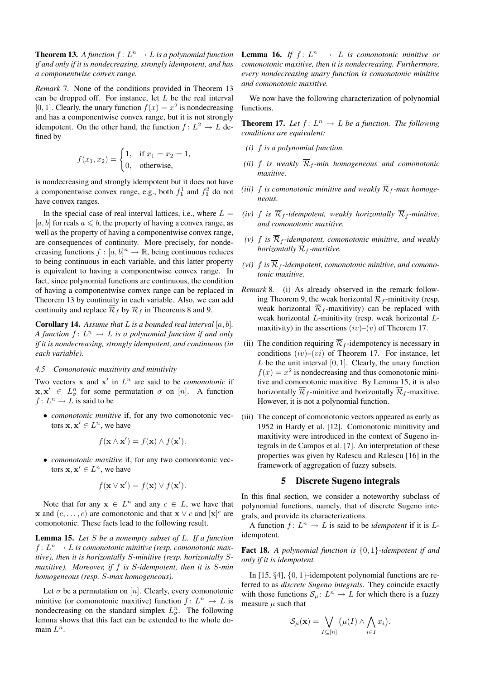**Theorem 13.** A function  $f: L^n \to L$  is a polynomial function *if and only if it is nondecreasing, strongly idempotent, and has a componentwise convex range.*

*Remark* 7*.* None of the conditions provided in Theorem 13 can be dropped off. For instance, let  $L$  be the real interval [0, 1]. Clearly, the unary function  $f(x) = x^2$  is nondecreasing and has a componentwise convex range, but it is not strongly idempotent. On the other hand, the function  $f: L^2 \to L$  defined by

$$
f(x_1, x_2) = \begin{cases} 1, & \text{if } x_1 = x_2 = 1, \\ 0, & \text{otherwise,} \end{cases}
$$

is nondecreasing and strongly idempotent but it does not have a componentwise convex range, e.g., both  $f_1^1$  and  $f_1^2$  do not have convex ranges.

In the special case of real interval lattices, i.e., where  $L =$ [a, b] for reals  $a \leq b$ , the property of having a convex range, as well as the property of having a componentwise convex range, are consequences of continuity. More precisely, for nondecreasing functions  $f : [a, b]^n \to \mathbb{R}$ , being continuous reduces to being continuous in each variable, and this latter property is equivalent to having a componentwise convex range. In fact, since polynomial functions are continuous, the condition of having a componentwise convex range can be replaced in Theorem 13 by continuity in each variable. Also, we can add continuity and replace  $\overline{\mathcal{R}}_f$  by  $\mathcal{R}_f$  in Theorems 8 and 9.

**Corollary 14.** Assume that  $L$  is a bounded real interval  $[a, b]$ . *A function*  $f: L^n \to L$  *is a polynomial function if and only if it is nondecreasing, strongly idempotent, and continuous (in each variable).*

# *4.5 Comonotonic maxitivity and minitivity*

Two vectors  $x$  and  $x'$  in  $L^n$  are said to be *comonotonic* if  $\mathbf{x}, \mathbf{x}' \in L^n_\sigma$  for some permutation  $\sigma$  on [n]. A function  $f: L^n \to L$  is said to be

• *comonotonic minitive* if, for any two comonotonic vectors  $x, x' \in L^n$ , we have

$$
f(\mathbf{x} \wedge \mathbf{x}') = f(\mathbf{x}) \wedge f(\mathbf{x}').
$$

• *comonotonic maxitive* if, for any two comonotonic vectors  $x, x' \in L^n$ , we have

$$
f(\mathbf{x} \vee \mathbf{x}') = f(\mathbf{x}) \vee f(\mathbf{x}').
$$

Note that for any  $x \in L^n$  and any  $c \in L$ , we have that **x** and  $(c, \ldots, c)$  are comonotonic and that **x**  $\vee$  *c* and  $[\mathbf{x}]^c$  are comonotonic. These facts lead to the following result.

Lemma 15. *Let* S *be a nonempty subset of* L*. If a function*  $f: L^n \to L$  is comonotonic minitive (resp. comonotonic max*itive), then it is horizontally* S*-minitive (resp. horizontally* S*maxitive). Moreover, if* f *is* S*-idempotent, then it is* S*-min homogeneous (resp.* S*-max homogeneous).*

Let  $\sigma$  be a permutation on [n]. Clearly, every comonotonic minitive (or comonotonic maxitive) function  $f: L^n \to L$  is nondecreasing on the standard simplex  $L_\sigma^n$ . The following lemma shows that this fact can be extended to the whole domain  $L^n$ .

**Lemma 16.** If  $f: L^n \rightarrow L$  is comonotonic minitive or *comonotonic maxitive, then it is nondecreasing. Furthermore, every nondecreasing unary function is comonotonic minitive and comonotonic maxitive.*

We now have the following characterization of polynomial functions.

**Theorem 17.** Let  $f: L^n \to L$  be a function. The following *conditions are equivalent:*

- *(i)* f *is a polynomial function.*
- *(ii)* f *is weakly*  $\overline{\mathcal{R}}_f$ -min homogeneous and comonotonic *maxitive.*
- (*iii*) f *is comonotonic minitive and weakly*  $\overline{\mathcal{R}}_f$ -max homoge*neous.*
- *(iv)* f *is*  $\overline{\mathcal{R}}_f$ -*idempotent, weakly horizontally*  $\overline{\mathcal{R}}_f$ -*minitive, and comonotonic maxitive.*
- *(v)*  $f$  *is*  $\overline{\mathcal{R}}_f$ -idempotent, comonotonic minitive, and weakly *horizontally*  $\overline{\mathcal{R}}_f$  *-maxitive.*
- *(vi)*  $f$  *is*  $\overline{\mathcal{R}}_f$ -*idempotent, comonotonic minitive, and comonotonic maxitive.*
- *Remark* 8*.* (i) As already observed in the remark following Theorem 9, the weak horizontal  $\overline{\mathcal{R}}_f$ -minitivity (resp. weak horizontal  $\overline{\mathcal{R}}_f$ -maxitivity) can be replaced with weak horizontal L-minitivity (resp. weak horizontal Lmaxitivity) in the assertions  $(iv)$ – $(v)$  of Theorem 17.
- (ii) The condition requiring  $\overline{\mathcal{R}}_f$ -idempotency is necessary in conditions  $(iv)$ – $(vi)$  of Theorem 17. For instance, let  $L$  be the unit interval  $[0, 1]$ . Clearly, the unary function  $f(x) = x^2$  is nondecreasing and thus comonotonic minitive and comonotonic maxitive. By Lemma 15, it is also horizontally  $\overline{\mathcal{R}}_f$ -minitive and horizontally  $\overline{\mathcal{R}}_f$ -maxitive. However, it is not a polynomial function.
- (iii) The concept of comonotonic vectors appeared as early as 1952 in Hardy et al. [12]. Comonotonic minitivity and maxitivity were introduced in the context of Sugeno integrals in de Campos et al. [7]. An interpretation of these properties was given by Ralescu and Ralescu [16] in the framework of aggregation of fuzzy subsets.

### 5 Discrete Sugeno integrals

In this final section, we consider a noteworthy subclass of polynomial functions, namely, that of discrete Sugeno integrals, and provide its characterizations.

A function  $f: L^n \to L$  is said to be *idempotent* if it is Lidempotent.

Fact 18. *A polynomial function is* {0, 1}*-idempotent if and only if it is idempotent.*

In [15, §4], {0, 1}-idempotent polynomial functions are referred to as *discrete Sugeno integrals*. They coincide exactly with those functions  $S_{\mu} : L^{n} \to L$  for which there is a fuzzy measure  $\mu$  such that

$$
\mathcal{S}_{\mu}(\mathbf{x}) = \bigvee_{I \subseteq [n]} \left( \mu(I) \wedge \bigwedge_{i \in I} x_i \right).
$$